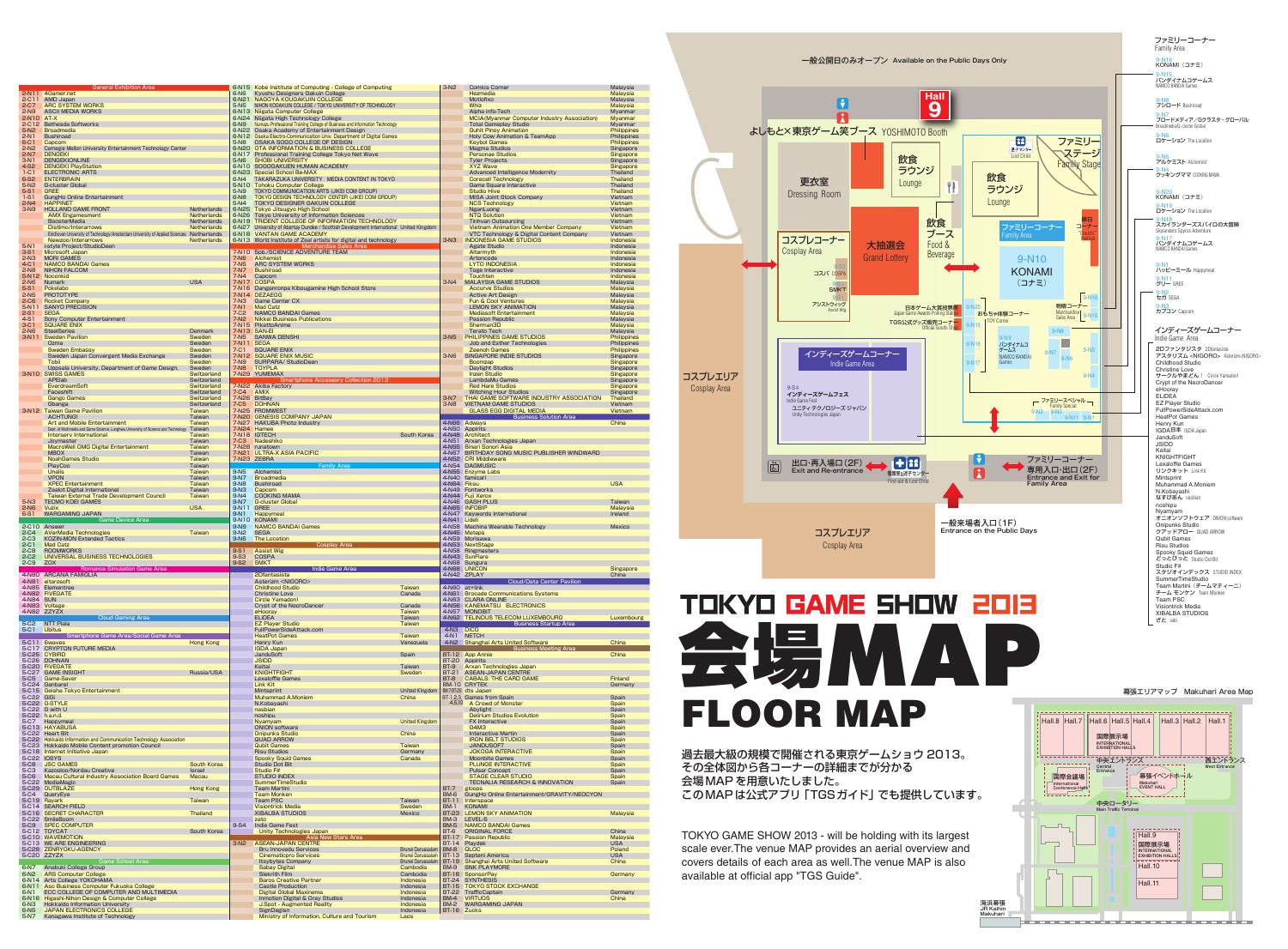

## OOR MAI

過去最大級の規模で開催される東京ゲームショウ 2013。 その全体図から各コーナーの詳細までが分かる 会場MAP を用意いたしました。 このMAP は公式アプリ「TGSガイド」でも提供しています。

TOKYO GAME SHOW 2013 - will be holding with its largest scale ever.The venue MAP provides an aerial overview and covers details of each area as well.The venue MAP is also available at official app "TGS Guide".



幕張エリアマップ Makuhari Area Map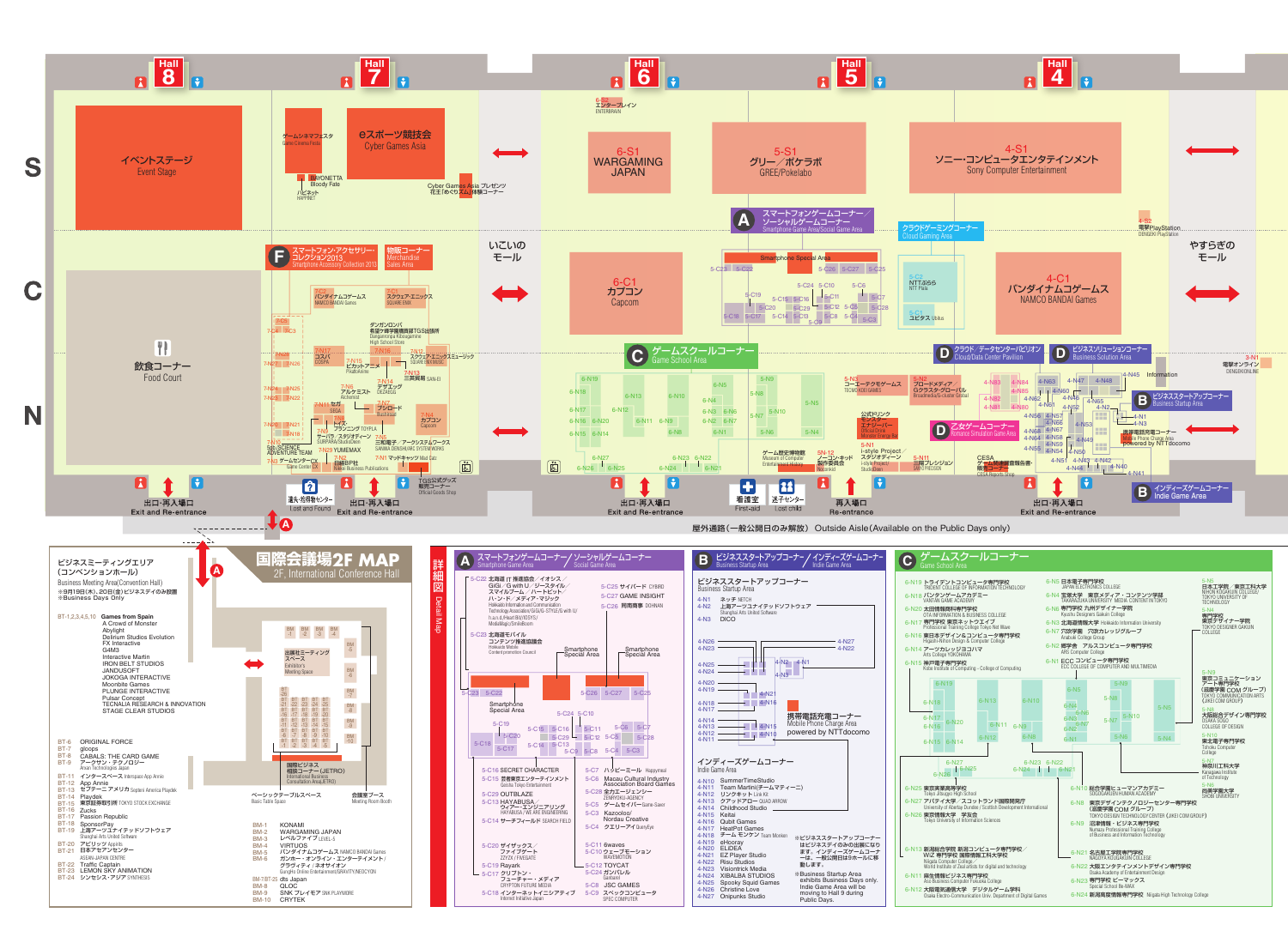